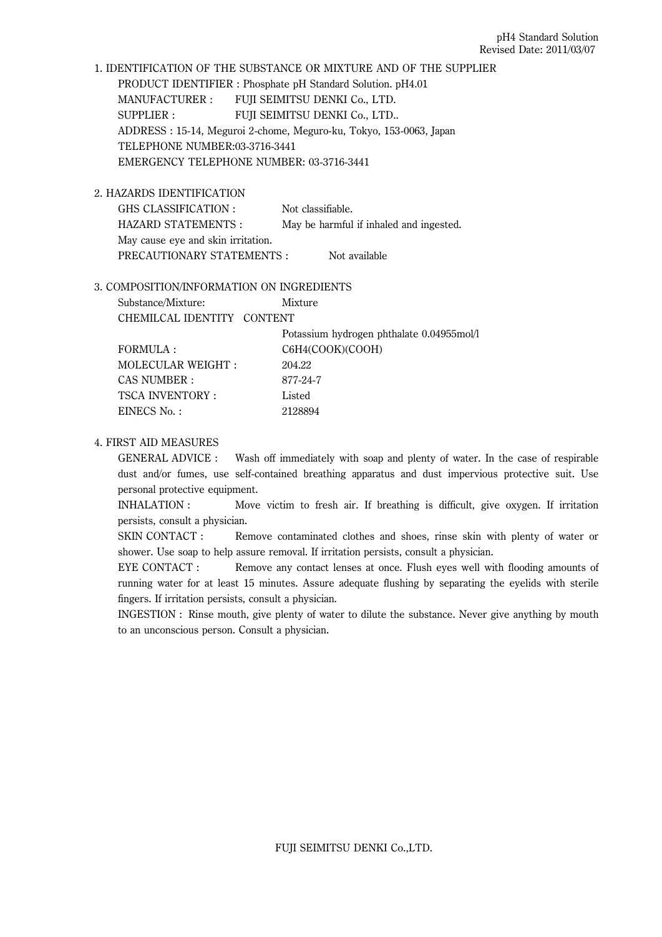1. IDENTIFICATION OF THE SUBSTANCE OR MIXTURE AND OF THE SUPPLIER PRODUCT IDENTIFIER : Phosphate pH Standard Solution. pH4.01 MANUFACTURER : FUJI SEIMITSU DENKI Co., LTD. SUPPLIER : FUJI SEIMITSU DENKI Co., LTD.. ADDRESS : 15-14, Meguroi 2-chome, Meguro-ku, Tokyo, 153-0063, Japan TELEPHONE NUMBER:03-3716-3441 EMERGENCY TELEPHONE NUMBER: 03-3716-3441

2. HAZARDS IDENTIFICATION

GHS CLASSIFICATION : Not classifiable. HAZARD STATEMENTS : May be harmful if inhaled and ingested. May cause eye and skin irritation. PRECAUTIONARY STATEMENTS : Not available

### 3. COMPOSITION/INFORMATION ON INGREDIENTS

| Substance/Mixture:         | Mixture                                  |
|----------------------------|------------------------------------------|
| CHEMILCAL IDENTITY CONTENT |                                          |
|                            | Potassium hydrogen phthalate 0.04955mol/ |
| FORMULA :                  | C6H4(COOK)(COOH)                         |
| MOLECULAR WEIGHT:          | 204.22                                   |
| CAS NUMBER :               | 877-24-7                                 |
| <b>TSCA INVENTORY:</b>     | Listed                                   |
| EINECS No.:                | 2128894                                  |

## 4. FIRST AID MEASURES

GENERAL ADVICE : Wash off immediately with soap and plenty of water. In the case of respirable dust and/or fumes, use self-contained breathing apparatus and dust impervious protective suit. Use personal protective equipment.

INHALATION : Move victim to fresh air. If breathing is difficult, give oxygen. If irritation persists, consult a physician.

SKIN CONTACT : Remove contaminated clothes and shoes, rinse skin with plenty of water or shower. Use soap to help assure removal. If irritation persists, consult a physician.

EYE CONTACT : Remove any contact lenses at once. Flush eyes well with flooding amounts of running water for at least 15 minutes. Assure adequate flushing by separating the eyelids with sterile fingers. If irritation persists, consult a physician.

INGESTION : Rinse mouth, give plenty of water to dilute the substance. Never give anything by mouth to an unconscious person. Consult a physician.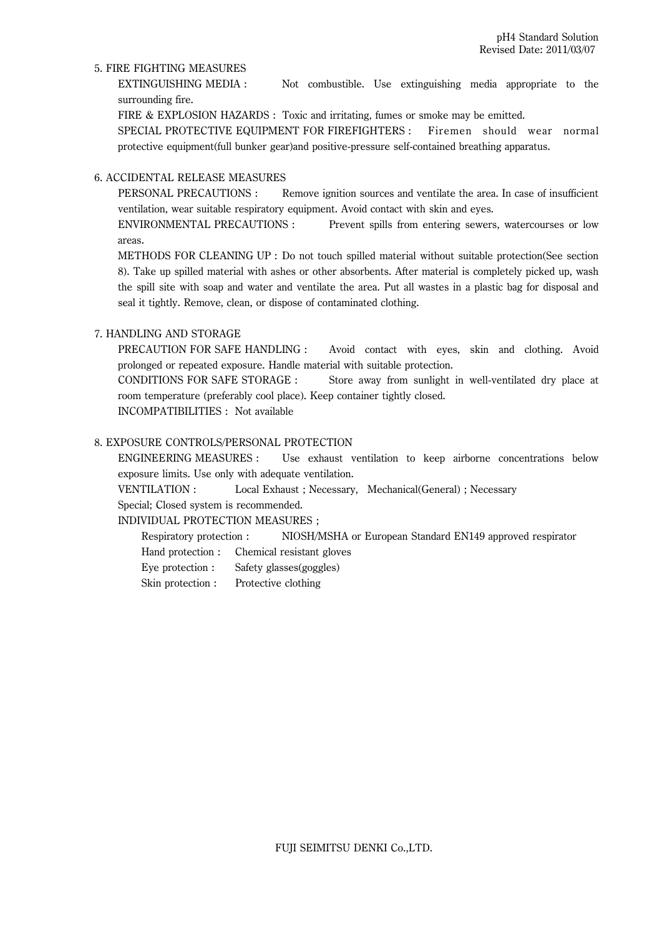### 5. FIRE FIGHTING MEASURES

EXTINGUISHING MEDIA : Not combustible. Use extinguishing media appropriate to the surrounding fire.

FIRE & EXPLOSION HAZARDS : Toxic and irritating, fumes or smoke may be emitted.

SPECIAL PROTECTIVE EQUIPMENT FOR FIREFIGHTERS : Firemen should wear normal protective equipment(full bunker gear)and positive-pressure self-contained breathing apparatus.

## 6. ACCIDENTAL RELEASE MEASURES

PERSONAL PRECAUTIONS : Remove ignition sources and ventilate the area. In case of insufficient ventilation, wear suitable respiratory equipment. Avoid contact with skin and eyes.

ENVIRONMENTAL PRECAUTIONS : Prevent spills from entering sewers, watercourses or low areas.

METHODS FOR CLEANING UP : Do not touch spilled material without suitable protection(See section 8). Take up spilled material with ashes or other absorbents. After material is completely picked up, wash the spill site with soap and water and ventilate the area. Put all wastes in a plastic bag for disposal and seal it tightly. Remove, clean, or dispose of contaminated clothing.

### 7. HANDLING AND STORAGE

PRECAUTION FOR SAFE HANDLING : Avoid contact with eyes, skin and clothing. Avoid prolonged or repeated exposure. Handle material with suitable protection.

CONDITIONS FOR SAFE STORAGE : Store away from sunlight in well-ventilated dry place at room temperature (preferably cool place). Keep container tightly closed.

INCOMPATIBILITIES : Not available

## 8. EXPOSURE CONTROLS/PERSONAL PROTECTION

ENGINEERING MEASURES : Use exhaust ventilation to keep airborne concentrations below exposure limits. Use only with adequate ventilation.

VENTILATION : Local Exhaust ; Necessary, Mechanical(General) ; Necessary

# Special; Closed system is recommended.

INDIVIDUAL PROTECTION MEASURES ;

Respiratory protection : NIOSH/MSHA or European Standard EN149 approved respirator

- Hand protection : Chemical resistant gloves
- Eye protection : Safety glasses(goggles)
- Skin protection : Protective clothing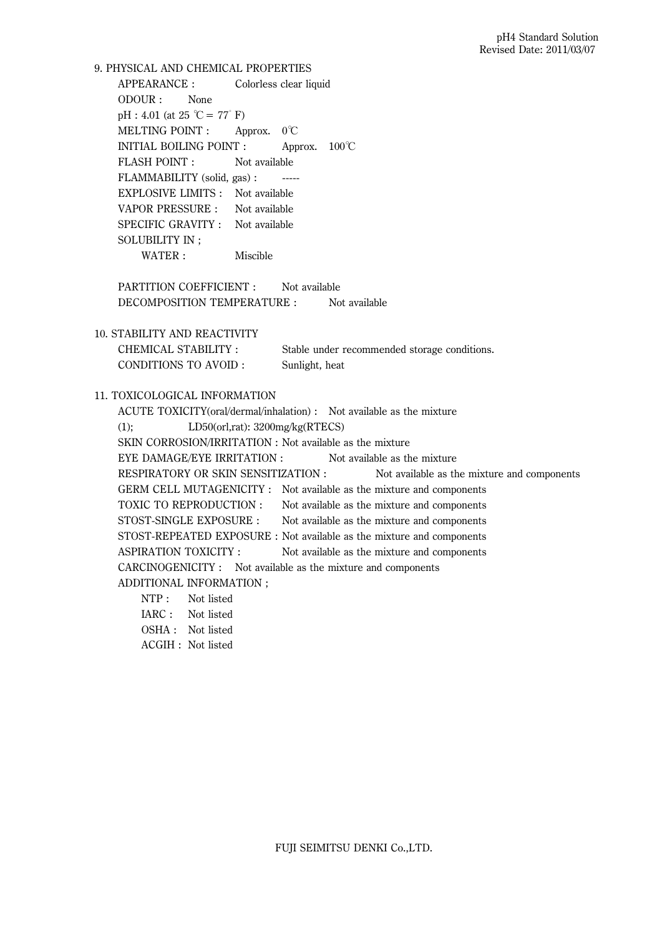9. PHYSICAL AND CHEMICAL PROPERTIES APPEARANCE : Colorless clear liquid ODOUR : None  $pH : 4.01$  (at 25 °C = 77° F) MELTING POINT : Approx. 0℃ INITIAL BOILING POINT : Approx. 100℃ FLASH POINT : Not available FLAMMABILITY (solid, gas) : ----- EXPLOSIVE LIMITS : Not available VAPOR PRESSURE : Not available SPECIFIC GRAVITY : Not available SOLUBILITY IN ; WATER : Miscible PARTITION COEFFICIENT : Not available DECOMPOSITION TEMPERATURE : Not available 10. STABILITY AND REACTIVITY CHEMICAL STABILITY : Stable under recommended storage conditions. CONDITIONS TO AVOID : Sunlight, heat 11. TOXICOLOGICAL INFORMATION ACUTE TOXICITY(oral/dermal/inhalation) : Not available as the mixture (1); LD50(orl,rat): 3200mg/kg(RTECS) SKIN CORROSION/IRRITATION : Not available as the mixture EYE DAMAGE/EYE IRRITATION : Not available as the mixture RESPIRATORY OR SKIN SENSITIZATION : Not available as the mixture and components GERM CELL MUTAGENICITY : Not available as the mixture and components TOXIC TO REPRODUCTION : Not available as the mixture and components STOST-SINGLE EXPOSURE : Not available as the mixture and components STOST-REPEATED EXPOSURE : Not available as the mixture and components ASPIRATION TOXICITY : Not available as the mixture and components CARCINOGENICITY : Not available as the mixture and components ADDITIONAL INFORMATION ; NTP: Not listed IARC : Not listed OSHA : Not listed

ACGIH : Not listed